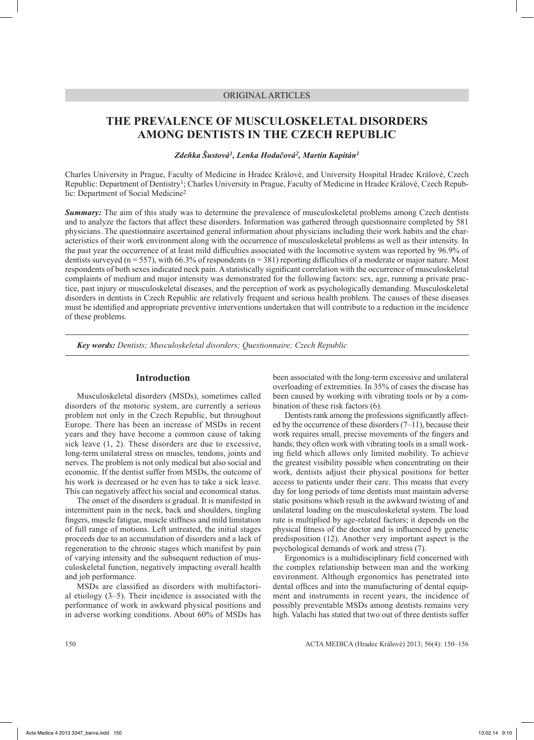## ORIGINAL ARTICLES

# **THE PREVALENCE OF MUSCULOSKELETAL DISORDERS AMONG DENTISTS IN THE CZECH REPUBLIC**

*Zdeňka Šustová<sup>1</sup>, Lenka Hodačová2, Martin Kapitán1*

Charles University in Prague, Faculty of Medicine in Hradec Králové, and University Hospital Hradec Králové, Czech Republic: Department of Dentistry1; Charles University in Prague, Faculty of Medicine in Hradec Králové, Czech Republic: Department of Social Medicine2

*Summary:* The aim of this study was to determine the prevalence of musculoskeletal problems among Czech dentists and to analyze the factors that affect these disorders. Information was gathered through questionnaire completed by 581 physicians. The questionnaire ascertained general information about physicians including their work habits and the characteristics of their work environment along with the occurrence of musculoskeletal problems as well as their intensity. In the past year the occurrence of at least mild difficulties associated with the locomotive system was reported by 96.9% of dentists surveyed ( $n = 557$ ), with 66.3% of respondents ( $n = 381$ ) reporting difficulties of a moderate or major nature. Most respondents of both sexes indicated neck pain. Astatistically significant correlation with the occurrence of musculoskeletal complaints of medium and major intensity was demonstrated for the following factors: sex, age, running a private practice, past injury or musculoskeletal diseases, and the perception of work as psychologically demanding. Musculoskeletal disorders in dentists in Czech Republic are relatively frequent and serious health problem. The causes of these diseases must be identified and appropriate preventive interventions undertaken that will contribute to a reduction in the incidence of these problems.

*Key words: Dentists; Musculoskeletal disorders; Questionnaire; Czech Republic*

### **Introduction**

Musculoskeletal disorders (MSDs), sometimes called disorders of the motoric system, are currently a serious problem not only in the Czech Republic, but throughout Europe. There has been an increase of MSDs in recent years and they have become a common cause of taking sick leave  $(1, 2)$ . These disorders are due to excessive, long-term unilateral stress on muscles, tendons, joints and nerves. The problem is not only medical but also social and economic. If the dentist suffer from MSDs, the outcome of his work is decreased or he even has to take a sick leave. This can negatively affect his social and economical status.

The onset of the disorders is gradual. It is manifested in intermittent pain in the neck, back and shoulders, tingling fingers, muscle fatigue, muscle stiffness and mild limitation of full range of motions. Left untreated, the initial stages proceeds due to an accumulation of disorders and a lack of regeneration to the chronic stages which manifest by pain of varying intensity and the subsequent reduction of musculoskeletal function, negatively impacting overall health and job performance.

MSDs are classified as disorders with multifactorial etiology (3–5). Their incidence is associated with the performance of work in awkward physical positions and in adverse working conditions. About 60% of MSDs has been associated with the long-term excessive and unilateral overloading of extremities. In 35% of cases the disease has been caused by working with vibrating tools or by a combination of these risk factors (6).

Dentists rank among the professions significantly affected by the occurrence of these disorders (7–11), because their work requires small, precise movements of the fingers and hands; they often work with vibrating tools in a small working field which allows only limited mobility. To achieve the greatest visibility possible when concentrating on their work, dentists adjust their physical positions for better access to patients under their care. This means that every day for long periods of time dentists must maintain adverse static positions which result in the awkward twisting of and unilateral loading on the musculoskeletal system. The load rate is multiplied by age-related factors; it depends on the physical fitness of the doctor and is influenced by genetic predisposition (12). Another very important aspect is the psychological demands of work and stress (7).

Ergonomics is a multidisciplinary field concerned with the complex relationship between man and the working environment. Although ergonomics has penetrated into dental offices and into the manufacturing of dental equipment and instruments in recent years, the incidence of possibly preventable MSDs among dentists remains very high. Valachi has stated that two out of three dentists suffer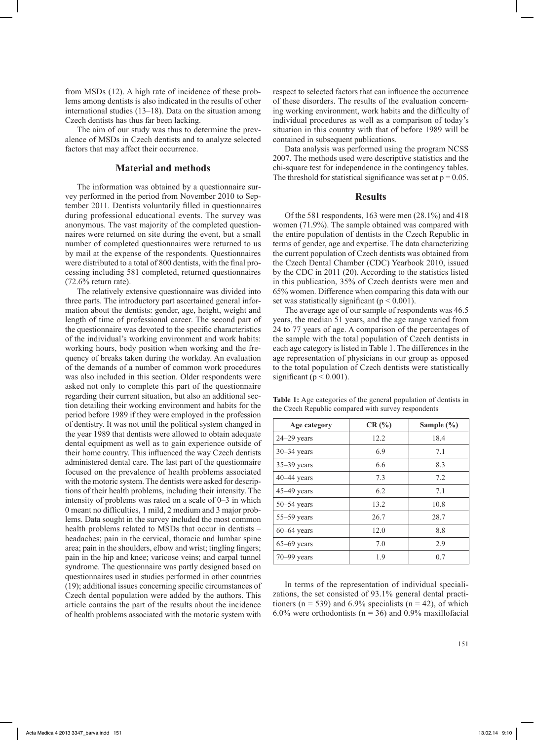from MSDs (12). A high rate of incidence of these problems among dentists is also indicated in the results of other international studies (13–18). Data on the situation among Czech dentists has thus far been lacking.

The aim of our study was thus to determine the prevalence of MSDs in Czech dentists and to analyze selected factors that may affect their occurrence.

## **Material and methods**

The information was obtained by a questionnaire survey performed in the period from November 2010 to September 2011. Dentists voluntarily filled in questionnaires during professional educational events. The survey was anonymous. The vast majority of the completed questionnaires were returned on site during the event, but a small number of completed questionnaires were returned to us by mail at the expense of the respondents. Questionnaires were distributed to a total of 800 dentists, with the final processing including 581 completed, returned questionnaires (72.6% return rate).

The relatively extensive questionnaire was divided into three parts. The introductory part ascertained general information about the dentists: gender, age, height, weight and length of time of professional career. The second part of the questionnaire was devoted to the specific characteristics of the individual's working environment and work habits: working hours, body position when working and the frequency of breaks taken during the workday. An evaluation of the demands of a number of common work procedures was also included in this section. Older respondents were asked not only to complete this part of the questionnaire regarding their current situation, but also an additional section detailing their working environment and habits for the period before 1989 if they were employed in the profession of dentistry. It was not until the political system changed in the year 1989 that dentists were allowed to obtain adequate dental equipment as well as to gain experience outside of their home country. This influenced the way Czech dentists administered dental care. The last part of the questionnaire focused on the prevalence of health problems associated with the motoric system. The dentists were asked for descriptions of their health problems, including their intensity. The intensity of problems was rated on a scale of 0–3 in which 0 meant no difficulties, 1 mild, 2 medium and 3 major problems. Data sought in the survey included the most common health problems related to MSDs that occur in dentists – headaches; pain in the cervical, thoracic and lumbar spine area; pain in the shoulders, elbow and wrist; tingling fingers; pain in the hip and knee; varicose veins; and carpal tunnel syndrome. The questionnaire was partly designed based on questionnaires used in studies performed in other countries (19); additional issues concerning specific circumstances of Czech dental population were added by the authors. This article contains the part of the results about the incidence of health problems associated with the motoric system with

respect to selected factors that can influence the occurrence of these disorders. The results of the evaluation concerning working environment, work habits and the difficulty of individual procedures as well as a comparison of today's situation in this country with that of before 1989 will be contained in subsequent publications.

Data analysis was performed using the program NCSS 2007. The methods used were descriptive statistics and the chi-square test for independence in the contingency tables. The threshold for statistical significance was set at  $p = 0.05$ .

#### **Results**

Of the 581 respondents, 163 were men (28.1%) and 418 women (71.9%). The sample obtained was compared with the entire population of dentists in the Czech Republic in terms of gender, age and expertise. The data characterizing the current population of Czech dentists was obtained from the Czech Dental Chamber (CDC) Yearbook 2010, issued by the CDC in 2011 (20). According to the statistics listed in this publication, 35% of Czech dentists were men and 65% women. Difference when comparing this data with our set was statistically significant ( $p < 0.001$ ).

The average age of our sample of respondents was 46.5 years, the median 51 years, and the age range varied from 24 to 77 years of age. A comparison of the percentages of the sample with the total population of Czech dentists in each age category is listed in Table 1. The differences in the age representation of physicians in our group as opposed to the total population of Czech dentists were statistically significant ( $p < 0.001$ ).

**Table 1:** Age categories of the general population of dentists in the Czech Republic compared with survey respondents

| Age category    | CR(%) | Sample $(\% )$ |  |
|-----------------|-------|----------------|--|
| $24 - 29$ years | 12.2  | 18.4           |  |
| $30 - 34$ years | 6.9   | 7.1            |  |
| $35 - 39$ years | 6.6   | 8.3            |  |
| $40 - 44$ years | 7.3   | 7.2            |  |
| $45-49$ years   | 6.2   | 7.1            |  |
| $50 - 54$ years | 13.2  | 10.8           |  |
| $55-59$ years   | 26.7  | 28.7           |  |
| $60-64$ years   | 12.0  | 8.8            |  |
| $65-69$ years   | 7.0   | 2.9            |  |
| $70 - 99$ years | 1.9   | 0.7            |  |

In terms of the representation of individual specializations, the set consisted of 93.1% general dental practitioners ( $n = 539$ ) and 6.9% specialists ( $n = 42$ ), of which 6.0% were orthodontists ( $n = 36$ ) and 0.9% maxillofacial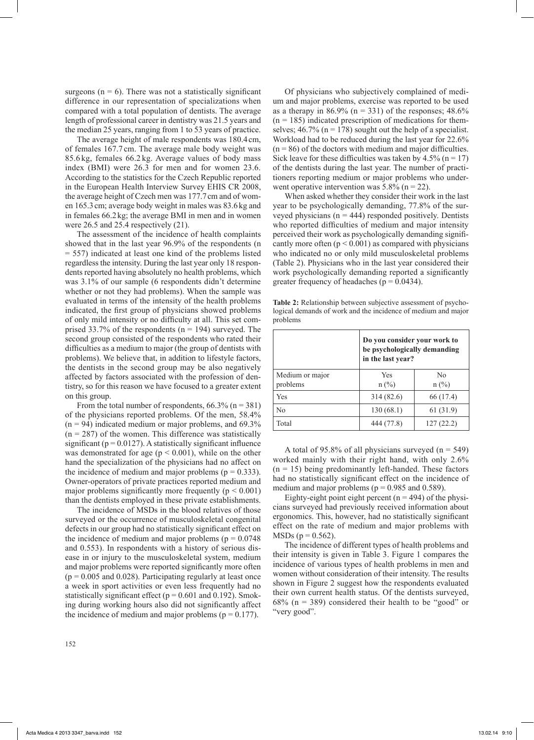surgeons ( $n = 6$ ). There was not a statistically significant difference in our representation of specializations when compared with a total population of dentists. The average length of professional career in dentistry was 21.5 years and the median 25 years, ranging from 1 to 53 years of practice.

The average height of male respondents was 180.4cm, of females 167.7 cm. The average male body weight was 85.6 kg, females 66.2 kg. Average values of body mass index (BMI) were 26.3 for men and for women 23.6. According to the statistics for the Czech Republic reported in the European Health Interview Survey EHIS CR 2008, the average height of Czech men was 177.7cm and of women 165.3cm; average body weight in males was 83.6kg and in females 66.2 kg; the average BMI in men and in women were 26.5 and 25.4 respectively (21).

The assessment of the incidence of health complaints showed that in the last year 96.9% of the respondents (n = 557) indicated at least one kind of the problems listed regardless the intensity. During the last year only 18 respondents reported having absolutely no health problems, which was 3.1% of our sample (6 respondents didn't determine whether or not they had problems). When the sample was evaluated in terms of the intensity of the health problems indicated, the first group of physicians showed problems of only mild intensity or no difficulty at all. This set comprised 33.7% of the respondents ( $n = 194$ ) surveyed. The second group consisted of the respondents who rated their difficulties as a medium to major (the group of dentists with problems). We believe that, in addition to lifestyle factors, the dentists in the second group may be also negatively affected by factors associated with the profession of dentistry, so for this reason we have focused to a greater extent on this group.

From the total number of respondents,  $66.3\%$  (n = 381) of the physicians reported problems. Of the men, 58.4%  $(n = 94)$  indicated medium or major problems, and 69.3%  $(n = 287)$  of the women. This difference was statistically significant ( $p = 0.0127$ ). A statistically significant influence was demonstrated for age ( $p \le 0.001$ ), while on the other hand the specialization of the physicians had no affect on the incidence of medium and major problems ( $p = 0.333$ ). Owner-operators of private practices reported medium and major problems significantly more frequently ( $p < 0.001$ ) than the dentists employed in these private establishments.

The incidence of MSDs in the blood relatives of those surveyed or the occurrence of musculoskeletal congenital defects in our group had no statistically significant effect on the incidence of medium and major problems ( $p = 0.0748$ ) and 0.553). In respondents with a history of serious disease in or injury to the musculoskeletal system, medium and major problems were reported significantly more often  $(p = 0.005$  and 0.028). Participating regularly at least once a week in sport activities or even less frequently had no statistically significant effect ( $p = 0.601$  and 0.192). Smoking during working hours also did not significantly affect the incidence of medium and major problems ( $p = 0.177$ ).

Of physicians who subjectively complained of medium and major problems, exercise was reported to be used as a therapy in 86.9% ( $n = 331$ ) of the responses; 48.6%  $(n = 185)$  indicated prescription of medications for themselves;  $46.7\%$  (n = 178) sought out the help of a specialist. Workload had to be reduced during the last year for 22.6%  $(n = 86)$  of the doctors with medium and major difficulties. Sick leave for these difficulties was taken by  $4.5\%$  (n = 17) of the dentists during the last year. The number of practitioners reporting medium or major problems who underwent operative intervention was  $5.8\%$  (n = 22).

When asked whether they consider their work in the last year to be psychologically demanding, 77.8% of the surveyed physicians ( $n = 444$ ) responded positively. Dentists who reported difficulties of medium and major intensity perceived their work as psychologically demanding significantly more often  $(p < 0.001)$  as compared with physicians who indicated no or only mild musculoskeletal problems (Table 2). Physicians who in the last year considered their work psychologically demanding reported a significantly greater frequency of headaches ( $p = 0.0434$ ).

**Table 2:** Relationship between subjective assessment of psychological demands of work and the incidence of medium and major problems

|                             | Do you consider your work to<br>be psychologically demanding<br>in the last year? |                           |  |
|-----------------------------|-----------------------------------------------------------------------------------|---------------------------|--|
| Medium or major<br>problems | Yes<br>$n (\%)$                                                                   | N <sub>0</sub><br>$n$ (%) |  |
| Yes                         | 314(82.6)                                                                         | 66 (17.4)                 |  |
| No                          | 130(68.1)                                                                         | 61 (31.9)                 |  |
| Total                       | 444 (77.8)                                                                        | 127(22.2)                 |  |

A total of 95.8% of all physicians surveyed ( $n = 549$ ) worked mainly with their right hand, with only 2.6%  $(n = 15)$  being predominantly left-handed. These factors had no statistically significant effect on the incidence of medium and major problems ( $p = 0.985$  and 0.589).

Eighty-eight point eight percent ( $n = 494$ ) of the physicians surveyed had previously received information about ergonomics. This, however, had no statistically significant effect on the rate of medium and major problems with  $MSDs (p = 0.562)$ .

The incidence of different types of health problems and their intensity is given in Table 3. Figure 1 compares the incidence of various types of health problems in men and women without consideration of their intensity. The results shown in Figure 2 suggest how the respondents evaluated their own current health status. Of the dentists surveyed,  $68\%$  (n = 389) considered their health to be "good" or "very good".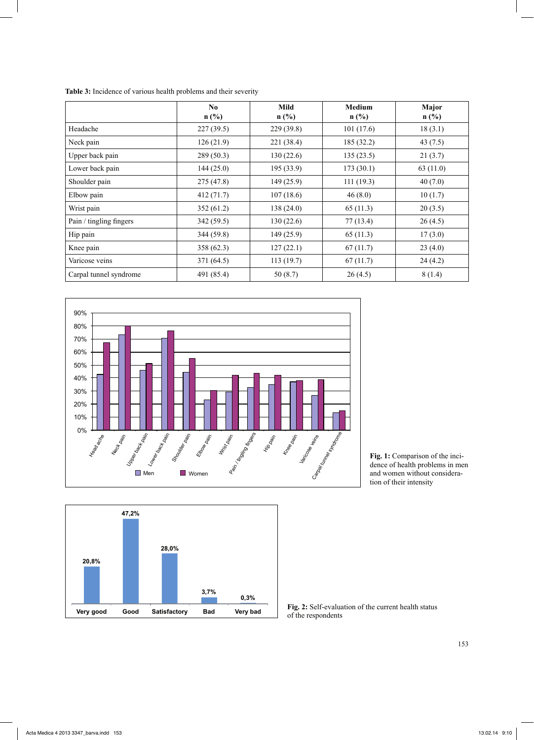|                         | No.<br>$n$ (%) | Mild<br>$n$ (%) | <b>Medium</b><br>$n$ (%) | Major<br>$n$ (%) |
|-------------------------|----------------|-----------------|--------------------------|------------------|
| Headache                | 227(39.5)      | 229(39.8)       | 101(17.6)                | 18(3.1)          |
| Neck pain               | 126(21.9)      | 221 (38.4)      | 185(32.2)                | 43 $(7.5)$       |
| Upper back pain         | 289(50.3)      | 130(22.6)       | 135(23.5)                | 21(3.7)          |
| Lower back pain         | 144(25.0)      | 195(33.9)       | 173(30.1)                | 63(11.0)         |
| Shoulder pain           | 275 (47.8)     | 149(25.9)       | 111(19.3)                | 40(7.0)          |
| Elbow pain              | 412(71.7)      | 107(18.6)       | 46(8.0)                  | 10(1.7)          |
| Wrist pain              | 352(61.2)      | 138(24.0)       | 65(11.3)                 | 20(3.5)          |
| Pain / tingling fingers | 342(59.5)      | 130(22.6)       | 77(13.4)                 | 26(4.5)          |
| Hip pain                | 344(59.8)      | 149(25.9)       | 65(11.3)                 | 17(3.0)          |
| Knee pain               | 358(62.3)      | 127(22.1)       | 67(11.7)                 | 23(4.0)          |
| Varicose veins          | 371 (64.5)     | 113(19.7)       | 67(11.7)                 | 24(4.2)          |
| Carpal tunnel syndrome  | 491 (85.4)     | 50(8.7)         | 26(4.5)                  | 8(1.4)           |







**Fig. 1:** Comparison of the incidence of health problems in men and women without consideration of their intensity

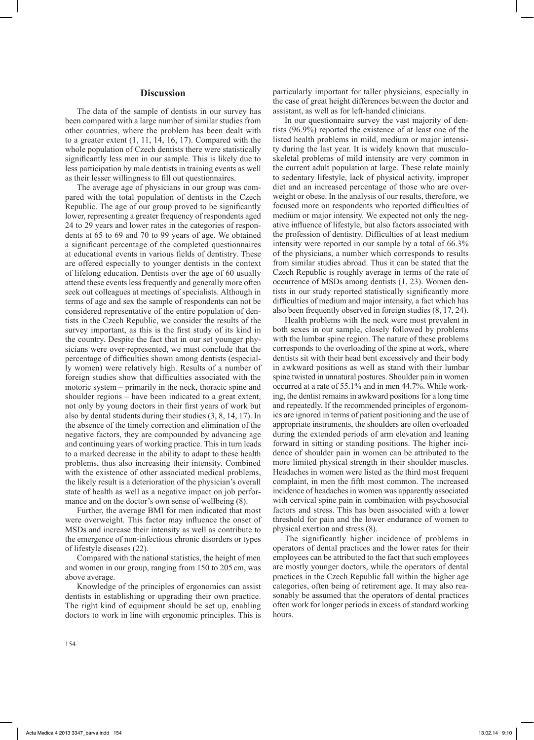#### **Discussion**

The data of the sample of dentists in our survey has been compared with a large number of similar studies from other countries, where the problem has been dealt with to a greater extent (1, 11, 14, 16, 17). Compared with the whole population of Czech dentists there were statistically significantly less men in our sample. This is likely due to less participation by male dentists in training events as well as their lesser willingness to fill out questionnaires.

The average age of physicians in our group was compared with the total population of dentists in the Czech Republic. The age of our group proved to be significantly lower, representing a greater frequency of respondents aged 24 to 29 years and lower rates in the categories of respondents at 65 to 69 and 70 to 99 years of age. We obtained a significant percentage of the completed questionnaires at educational events in various fields of dentistry. These are offered especially to younger dentists in the context of lifelong education. Dentists over the age of 60 usually attend these events less frequently and generally more often seek out colleagues at meetings of specialists. Although in terms of age and sex the sample of respondents can not be considered representative of the entire population of dentists in the Czech Republic, we consider the results of the survey important, as this is the first study of its kind in the country. Despite the fact that in our set younger physicians were over-represented, we must conclude that the percentage of difficulties shown among dentists (especially women) were relatively high. Results of a number of foreign studies show that difficulties associated with the motoric system – primarily in the neck, thoracic spine and shoulder regions – have been indicated to a great extent, not only by young doctors in their first years of work but also by dental students during their studies (3, 8, 14, 17). In the absence of the timely correction and elimination of the negative factors, they are compounded by advancing age and continuing years of working practice. This in turn leads to a marked decrease in the ability to adapt to these health problems, thus also increasing their intensity. Combined with the existence of other associated medical problems, the likely result is a deterioration of the physician's overall state of health as well as a negative impact on job performance and on the doctor's own sense of wellbeing (8).

Further, the average BMI for men indicated that most were overweight. This factor may influence the onset of MSDs and increase their intensity as well as contribute to the emergence of non-infectious chronic disorders or types of lifestyle diseases (22).

Compared with the national statistics, the height of men and women in our group, ranging from 150 to 205cm, was above average.

Knowledge of the principles of ergonomics can assist dentists in establishing or upgrading their own practice. The right kind of equipment should be set up, enabling doctors to work in line with ergonomic principles. This is particularly important for taller physicians, especially in the case of great height differences between the doctor and assistant, as well as for left-handed clinicians.

In our questionnaire survey the vast majority of dentists (96.9%) reported the existence of at least one of the listed health problems in mild, medium or major intensity during the last year. It is widely known that musculoskeletal problems of mild intensity are very common in the current adult population at large. These relate mainly to sedentary lifestyle, lack of physical activity, improper diet and an increased percentage of those who are overweight or obese. In the analysis of our results, therefore, we focused more on respondents who reported difficulties of medium or major intensity. We expected not only the negative influence of lifestyle, but also factors associated with the profession of dentistry. Difficulties of at least medium intensity were reported in our sample by a total of 66.3% of the physicians, a number which corresponds to results from similar studies abroad. Thus it can be stated that the Czech Republic is roughly average in terms of the rate of occurrence of MSDs among dentists (1, 23). Women dentists in our study reported statistically significantly more difficulties of medium and major intensity, a fact which has also been frequently observed in foreign studies (8, 17, 24).

Health problems with the neck were most prevalent in both sexes in our sample, closely followed by problems with the lumbar spine region. The nature of these problems corresponds to the overloading of the spine at work, where dentists sit with their head bent excessively and their body in awkward positions as well as stand with their lumbar spine twisted in unnatural postures. Shoulder pain in women occurred at a rate of 55.1% and in men 44.7%. While working, the dentist remains in awkward positions for a long time and repeatedly. If the recommended principles of ergonomics are ignored in terms of patient positioning and the use of appropriate instruments, the shoulders are often overloaded during the extended periods of arm elevation and leaning forward in sitting or standing positions. The higher incidence of shoulder pain in women can be attributed to the more limited physical strength in their shoulder muscles. Headaches in women were listed as the third most frequent complaint, in men the fifth most common. The increased incidence of headaches in women was apparently associated with cervical spine pain in combination with psychosocial factors and stress. This has been associated with a lower threshold for pain and the lower endurance of women to physical exertion and stress (8).

The significantly higher incidence of problems in operators of dental practices and the lower rates for their employees can be attributed to the fact that such employees are mostly younger doctors, while the operators of dental practices in the Czech Republic fall within the higher age categories, often being of retirement age. It may also reasonably be assumed that the operators of dental practices often work for longer periods in excess of standard working hours.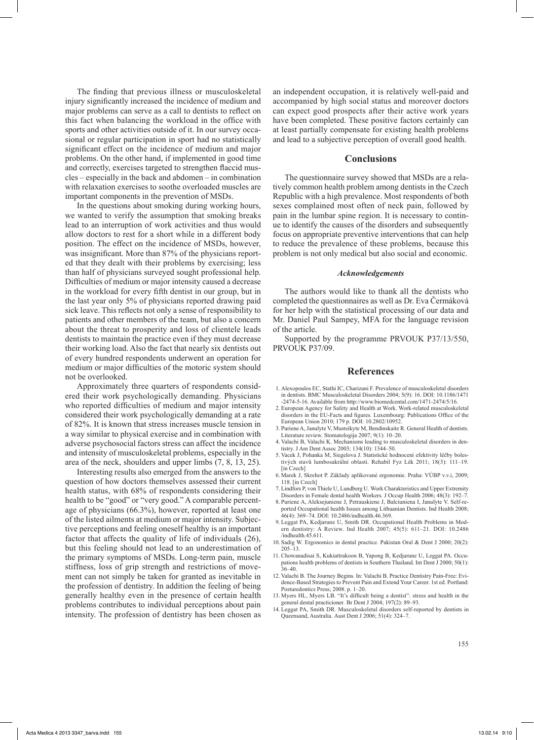The finding that previous illness or musculoskeletal injury significantly increased the incidence of medium and major problems can serve as a call to dentists to reflect on this fact when balancing the workload in the office with sports and other activities outside of it. In our survey occasional or regular participation in sport had no statistically significant effect on the incidence of medium and major problems. On the other hand, if implemented in good time and correctly, exercises targeted to strengthen flaccid muscles – especially in the back and abdomen – in combination with relaxation exercises to soothe overloaded muscles are important components in the prevention of MSDs.

In the questions about smoking during working hours, we wanted to verify the assumption that smoking breaks lead to an interruption of work activities and thus would allow doctors to rest for a short while in a different body position. The effect on the incidence of MSDs, however, was insignificant. More than 87% of the physicians reported that they dealt with their problems by exercising; less than half of physicians surveyed sought professional help. Difficulties of medium or major intensity caused a decrease in the workload for every fifth dentist in our group, but in the last year only 5% of physicians reported drawing paid sick leave. This reflects not only a sense of responsibility to patients and other members of the team, but also a concern about the threat to prosperity and loss of clientele leads dentists to maintain the practice even if they must decrease their working load. Also the fact that nearly six dentists out of every hundred respondents underwent an operation for medium or major difficulties of the motoric system should not be overlooked.

Approximately three quarters of respondents considered their work psychologically demanding. Physicians who reported difficulties of medium and major intensity considered their work psychologically demanding at a rate of 82%. It is known that stress increases muscle tension in a way similar to physical exercise and in combination with adverse psychosocial factors stress can affect the incidence and intensity of musculoskeletal problems, especially in the area of the neck, shoulders and upper limbs (7, 8, 13, 25).

Interesting results also emerged from the answers to the question of how doctors themselves assessed their current health status, with 68% of respondents considering their health to be "good" or "very good." A comparable percentage of physicians (66.3%), however, reported at least one of the listed ailments at medium or major intensity. Subjective perceptions and feeling oneself healthy is an important factor that affects the quality of life of individuals (26), but this feeling should not lead to an underestimation of the primary symptoms of MSDs. Long-term pain, muscle stiffness, loss of grip strength and restrictions of movement can not simply be taken for granted as inevitable in the profession of dentistry. In addition the feeling of being generally healthy even in the presence of certain health problems contributes to individual perceptions about pain intensity. The profession of dentistry has been chosen as

an independent occupation, it is relatively well-paid and accompanied by high social status and moreover doctors can expect good prospects after their active work years have been completed. These positive factors certainly can at least partially compensate for existing health problems and lead to a subjective perception of overall good health.

#### **Conclusions**

The questionnaire survey showed that MSDs are a relatively common health problem among dentists in the Czech Republic with a high prevalence. Most respondents of both sexes complained most often of neck pain, followed by pain in the lumbar spine region. It is necessary to continue to identify the causes of the disorders and subsequently focus on appropriate preventive interventions that can help to reduce the prevalence of these problems, because this problem is not only medical but also social and economic.

#### *Acknowledgements*

The authors would like to thank all the dentists who completed the questionnaires as well as Dr. Eva Čermáková for her help with the statistical processing of our data and Mr. Daniel Paul Sampey, MFA for the language revision of the article.

Supported by the programme PRVOUK P37/13/550, PRVOUK P37/09.

#### **References**

- 1. Alexopoulos EC, Stathi IC, Charizani F. Prevalence of musculoskeletal disorders in dentists. BMC Musculoskeletal Disorders 2004; 5(9): 16. DOI: 10.1186/1471 -2474-5-16. Available from http://www.biomedcental.com/1471-2474/5/16.
- 2. European Agency for Safety and Health at Work. Work-related musculoskeletal disorders in the EU-Facts and figures*.* Luxembourg: Publications Office of the European Union 2010; 179 p. DOI: 10.2802/10952.
- 3. Puriene A, Janulyte V, Musteikyte M, Bendinskaite R. General Health of dentists. Literature review. Stomatologija 2007; 9(1): 10–20.
- 4. Valachi B, Valachi K. Mechanisms leading to musculoskeletal disorders in dentistry. J Am Dent Assoc 2003; 134(10): 1344–50.
- 5. Vacek J, Pohanka M, Siegelova J. Statistické hodnocení efektivity léčby bolestivých stavů lumbosakrální oblasti. Rehabil Fyz Lék 2011; 18(3): 111–19. [in Czech]
- 6. Marek J, Skrehot P. Základy aplikované ergonomie. Praha: VÚBP v.v.i, 2009; 118. [in Czech]
- 7. Lindfors P, von Thiele U, Lundberg U. Work Charakteristics and Upper Extremity Disorders in Female dental health Workers*.* J Occup Health 2006; 48(3): 192–7.
- 8. Puriene A, Aleksejuniene J, Petrauskiene J, Balciuniena I, Janulyte V. Self-reported Occupational health Issues among Lithuanian Dentists. Ind Health 2008; 46(4): 369–74. DOI: 10.2486/indhealth.46.369.
- 9. Leggat PA, Kedjarune U, Smith DR. Occupational Health Problems in Modern dentistry: A Review. Ind Health 2007; 45(5): 611–21. DOI: 10.2486 /indhealth.45.611.
- 10. Sadig W. Ergonomics in dental practice*.* Pakistan Oral & Dent J 2000; 20(2): 205–13.
- 11. Chowanadisai S, Kukiattrakoon B, Yapong B, Kedjarune U, Leggat PA. Occupations health problems of dentists in Southern Thailand. Int Dent J 2000; 50(1): 36–40.
- 12. Valachi B. The Journey Begins*.* In: Valachi B. Practice Dentistry Pain-Free: Evidence-Based Strategies to Prevent Pain and Extend Your Career. 1st ed. Portland: Posturedontics Press; 2008. p. 1–20.
- 13. Myers HL, Myers LB. "It's difficult being a dentist": stress and health in the general dental practicioner*.* Br Dent J 2004; 197(2): 89–93.
- 14. Leggat PA, Smith DR*.* Musculoskeletal disorders self-reported by dentists in Queensand, Australia. Aust Dent J 2006; 51(4): 324–7.